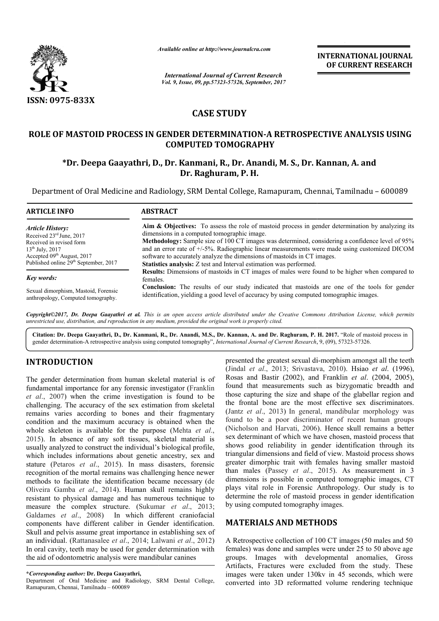

*Available online at http://www.journal http://www.journalcra.com*

*International Journal of Current Research Vol. 9, Issue, 09, pp.57323-57326, September, 2017* **INTERNATIONAL JOURNAL OF CURRENT RESEARCH** 

### **CASE STUDY**

## **ROLE OF MASTOID PROCESS IN GENDER DETERMINATION DETERMINATION-A RETROSPECTIVE ANALYSIS USING**  MASTOID PROCESS IN GENDER DETERMINATION-A RETROSPECTIVE ANALYS! COMPUTED TOMOGRAPHY<br>FDr. Deepa Gaayathri, D., Dr. Kanmani, R., Dr. Anandi, M. S., Dr. Kannan, A. and **COMPUTED TOMOGRAPHY**

# **Dr. Raghuram, P. H.**

Department of Oral Medicine and Radiology, SRM Dental College, Ramapuram, Chennai, Tamilnadu - 600089

| <b>ARTICLE INFO</b>                               | <b>ABSTRACT</b>                                                                                                   |  |
|---------------------------------------------------|-------------------------------------------------------------------------------------------------------------------|--|
| <b>Article History:</b>                           | <b>Aim &amp; Objectives:</b> To assess the role of mastoid process in gender determination by analyzing its       |  |
| Received 23 <sup>rd</sup> June, 2017              | dimensions in a computed tomographic image.                                                                       |  |
| Received in revised form                          | Methodology: Sample size of 100 CT images was determined, considering a confidence level of 95%                   |  |
| $13^{th}$ July, 2017                              | and an error rate of $+/-5\%$ . Radiographic linear measurements were made using customized DICOM                 |  |
| Accepted 09 <sup>th</sup> August, 2017            | software to accurately analyze the dimensions of mastoids in CT images.                                           |  |
| Published online 29 <sup>th</sup> September, 2017 | Statistics analysis: Z test and Interval estimation was performed.                                                |  |
| <b>Key words:</b>                                 | <b>Results:</b> Dimensions of mastoids in CT images of males were found to be higher when compared to<br>females. |  |
| Sexual dimorphism, Mastoid, Forensic              | <b>Conclusion:</b> The results of our study indicated that mastoids are one of the tools for gender               |  |
| anthropology, Computed tomography.                | identification, yielding a good level of accuracy by using computed tomographic images.                           |  |

*Copyright©2017, Dr. Deepa Gaayathri et al. This is an open access article distributed under the Creative Commons Att Creative Attribution License, which permits unrestricted use, distribution, and reproduction in any medium, provided the original work is properly cited.*

**Citation: Dr. Deepa Gaayathri, D., Dr. Kanmani, R., Dr. Anandi, M.S., Dr. Kannan, A. and Dr. Raghuram, P. H. and 2017.** "Role of mastoid process in gender determination-A retrospective analysis using computed tomography", *International Journal of Current Research*, 9, (09), 57323-57326.

#### **INTRODUCTION**

The gender determination from human skeletal material is of fundamental importance for any forensic investigator (Franklin *et al*., 2007) when the crime investigation is found to be challenging. The accuracy of the sex estimation from skeletal remains varies according to bones and their fragmentary condition and the maximum accuracy is obtained when the whole skeleton is available for the purpose (Mehta *et al.*, 2015). In absence of any soft tissues, skeletal material is usually analyzed to construct the individual's biological profile, which includes informations about genetic ancestry, sex and stature (Petaros *et al*., 2015). In mass disasters, forensic recognition of the mortal remains was challenging hence newer methods to facilitate the identification became necessary (de Oliveira Gamba *et al*., 2014). Human skull remains highly resistant to physical damage and has numerous technique to measure the complex structure. (Sukumar *et al.*, 2013; Galdames *et al*., 2008) In which different craniofacial components have different caliber in Gender identification. Skull and pelvis assume great importance in establishing sex of an individual. (Rattanasalee *et al*., 2014; Lalwani *et al*., 2012) In oral cavity, teeth may be used for gender determination with the aid of odontometric analysis were mandibular canines

Department of Oral Medicine and Radiology, SRM Dental College, Ramapuram, Chennai, Tamilnadu – 600089

presented the greatest sexual di-morphism amongst all the teeth (Jindal *et al.*, 2013; Srivastava, 2010). Hsiao *et al.* (1996), Rosas and Bastir (2002), and Franklin *et al*. (2004, 2005), found that measurements such as bizygomatic breadth and those capturing the size and shape of the glabellar region and the frontal bone are the most effective sex discriminators. (Jantz *et al*., 2013) In general, mandibular morphology was found to be a poor discriminator of recent human groups (Nicholson and Harvati, 2006). Hence skull remains a better sex determinant of which we have chosen, mastoid process that shows good reliability in gender identification through its sex determinant of which we have chosen, mastoid process that<br>shows good reliability in gender identification through its<br>triangular dimensions and field of view. Mastoid process shows greater dimorphic trait with females having smaller mastoid than males (Passey *et al.*, 2015). As measurement in 3 dimensions is possible in computed tomographic images, CT dimensions is possible in computed tomographic images, CT plays vital role in Forensic Anthropology. Our study is to determine the role of mastoid process in gender identification by using computed tomography images. ments such as bizygomatic breadth and<br>size and shape of the glabellar region and<br>e the most effective sex discriminators.<br>In general, mandibular morphology was<br>r discriminator of recent human groups<br>vati, 2006). Hence skul **EXERCTIONAL JOURNAL COVERGIVE TRENSATIONAL JOURNAL COVERT COVERT COVERT COVERT COVERT CONDINENT CONDINENT CONDINENT CONDINENT CANNOT CONDINENT VALUATION IN A S., Dr. Kannan, A. and I. (A RUMATION CONDINENT VALUATION COND** 

#### **MATERIALS AND METHODS METHODS**

A Retrospective collection of 100 CT images (50 males and 50 females) was done and samples were under 25 to 50 above age groups. Images with developmental anomalies, Gross Artifacts, Fractures were excluded from the study. These images were taken under 130kv in 45 seconds, which were converted into 3D reformatted volume rendering technique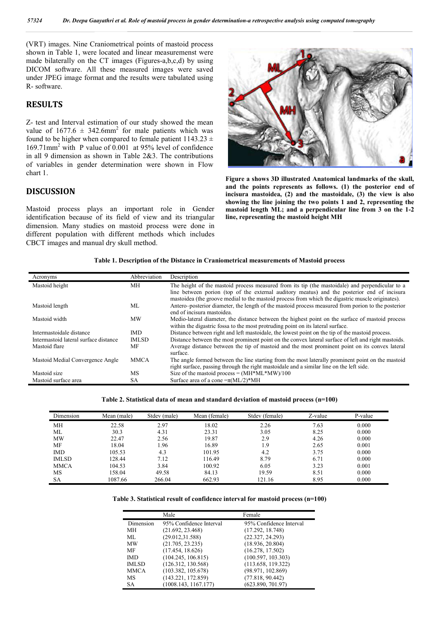(VRT) images. Nine Craniometrical points of mastoid process shown in Table 1, were located and linear measuremenst were made bilaterally on the CT images (Figures (Figures-a,b,c,d) by using DICOM software. All these measured images were saved under JPEG image format and the results were tabulated using R- software.

#### **RESULTS**

Z- test and Interval estimation of our study showed the mean value of  $1677.6 \pm 342.6$ mm<sup>2</sup> for male patients which was found to be higher when compared to female patient  $1143.23 \pm$ 169.71mm2 with P value of 0.001 at 95% level of confidence in all 9 dimension as shown in Table 2&3. The contributions of variables in gender determination were shown in Flow chart 1.

#### **DISCUSSION**

Mastoid process plays an important role in Gender identification because of its field of view and its triangular dimension. Many studies on mastoid process were done in different population with different methods which includes CBCT images and manual dry skull method. of its field of view and its triangular line, representing the mastoid height MH<br>lies on mastoid process were done in<br>with different methods which includes<br>ual dry skull method.<br>Table 1. Description of the Distance in Cran



**Figure a shows 3D illustrated Anatomical landmarks of the skull,**  and the points represents as follows. (1) the posterior end of **incisura mastoidea, (2) and the mastoidale, (3) the view is also showing the line joining the two points 1 and 2, representing the**  showing the line joining the two points 1 and 2, representing the mastoid length ML; and a perpendicular line from 3 on the 1-2 **line, representing the mastoid height MH**

| Acronyms                              | Abbreviation | Description                                                                                                                                                                                   |
|---------------------------------------|--------------|-----------------------------------------------------------------------------------------------------------------------------------------------------------------------------------------------|
| Mastoid height                        | MН           | The height of the mastoid process measured from its tip (the mastoidale) and perpendicular to a                                                                                               |
|                                       |              | line between portion (top of the external auditory meatus) and the posterior end of incisura                                                                                                  |
|                                       |              | mastoidea (the groove medial to the mastoid process from which the digastric muscle originates).                                                                                              |
| Mastoid length                        | ML           | Antero–posterior diameter, the length of the mastoid process measured from porion to the posterior<br>end of incisura mastoidea.                                                              |
| Mastoid width                         | <b>MW</b>    | Medio-lateral diameter, the distance between the highest point on the surface of mastoid process                                                                                              |
|                                       |              | within the digastric fossa to the most protruding point on its lateral surface.                                                                                                               |
| Intermastoidale distance              | <b>IMD</b>   | Distance between right and left mastoidale, the lowest point on the tip of the mastoid process.                                                                                               |
| Intermastoid lateral surface distance | <b>IMLSD</b> | Distance between the most prominent point on the convex lateral surface of left and right mastoids.                                                                                           |
| Mastoid flare                         | MF           | Average distance between the tip of mastoid and the most prominent point on its convex lateral<br>surface.                                                                                    |
| Mastoid Medial Convergence Angle      | <b>MMCA</b>  | The angle formed between the line starting from the most laterally prominent point on the mastoid<br>right surface, passing through the right mastoidale and a similar line on the left side. |
| Mastoid size                          | <b>MS</b>    | Size of the mastoid process = $(MH*ML*MW)/100$                                                                                                                                                |
| Mastoid surface area                  | SА           | Surface area of a cone $=\pi (ML/2)^*MH$                                                                                                                                                      |

Table 2. Statistical data of mean and standard deviation of mastoid process (n=100)

| Dimension    | Mean (male) | Stdev (male) | Mean (female) | Stdev (female) | Z-value | P-value |
|--------------|-------------|--------------|---------------|----------------|---------|---------|
| MH           | 22.58       | 2.97         | 18.02         | 2.26           | 7.63    | 0.000   |
| ML           | 30.3        | 4.31         | 23.31         | 3.05           | 8.25    | 0.000   |
| <b>MW</b>    | 22.47       | 2.56         | 19.87         | 2.9            | 4.26    | 0.000   |
| MF           | 18.04       | 1.96         | 16.89         | 1.9            | 2.65    | 0.001   |
| <b>IMD</b>   | 105.53      | 4.3          | 101.95        | 4.2            | 3.75    | 0.000   |
| <b>IMLSD</b> | 128.44      | 7.12         | 116.49        | 8.79           | 6.71    | 0.000   |
| <b>MMCA</b>  | 104.53      | 3.84         | 100.92        | 6.05           | 3.23    | 0.001   |
| MS           | 158.04      | 49.58        | 84.13         | 19.59          | 8.51    | 0.000   |
| <b>SA</b>    | 1087.66     | 266.04       | 662.93        | 121.16         | 8.95    | 0.000   |

| Table 3. Statistical result of confidence interval for mastoid process (n=100) |  |  |  |  |
|--------------------------------------------------------------------------------|--|--|--|--|
|--------------------------------------------------------------------------------|--|--|--|--|

|              | Male                    | Female                  |
|--------------|-------------------------|-------------------------|
| Dimension    | 95% Confidence Interval | 95% Confidence Interval |
| MН           | (21.692, 23.468)        | (17.292, 18.748)        |
| ML           | (29.012.31.588)         | (22.327, 24.293)        |
| MW           | (21.705, 23.235)        | (18.936, 20.804)        |
| MF           | (17.454, 18.626)        | (16.278, 17.502)        |
| <b>IMD</b>   | (104.245, 106.815)      | (100.597, 103.303)      |
| <b>IMLSD</b> | (126.312, 130.568)      | (113.658, 119.322)      |
| <b>MMCA</b>  | (103.382, 105.678)      | (98.971, 102.869)       |
| MS           | (143.221, 172.859)      | (77.818, 90.442)        |
| SА           | (1008.143, 1167.177)    | (623.890, 701.97)       |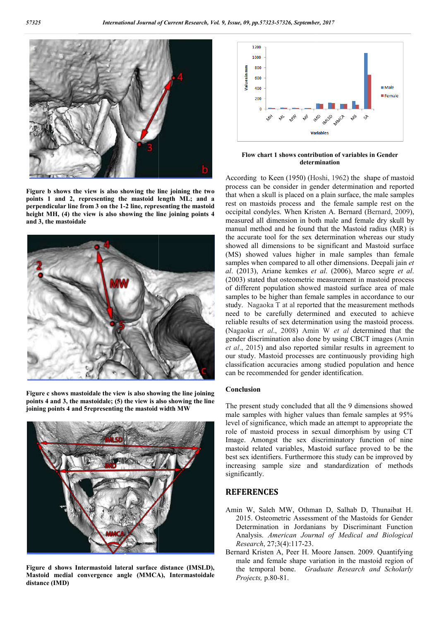

**Figure b shows the view is also showing the line joining the two points 1 and 2, representing the mastoid length ML; and a perpendicular line from 3 on the 1-2 line, representing the mastoid 2 height MH, (4) the view is also showing the line joining points 4 and 3, the mastoidale**



**Figure c shows mastoidale the view is also showing the line joining points 4 and 3, the mastoidale; (5) the view is also showing the line joining points 4 and 5representing the mastoid width MW**



**Figure d shows Intermastoid lateral surface distance (IMSLD), Mastoid medial convergence angle (MMCA), Intermastoidale distance (IMD)**



**Flow chart 1 shows contribution of variables in Gender determination**

According to Keen (1950) (Hoshi, 1962) the shape of mastoid process can be consider in gender determination and reported that when a skull is placed on a plain surface, the male samples rest on mastoids process and the female sample rest on the process can be consider in gender determination and reported that when a skull is placed on a plain surface, the male samples rest on mastoids process and the female sample rest on the occipital condyles. When Kristen A. B measured all dimension in both male and female dry skull by manual method and he found that the Mastoid radius (MR) is the accurate tool for the sex determination whereas our study showed all dimensions to be significant and Mastoid surface (MS) showed values higher in male samples than female samples when compared to all other dimensions. Deepali jain *et al*. (2013), Ariane kemkes *et al* . (2006), Marco segre *et al*. (2003) stated that osteometric measurement in mastoid process of different population showed mastoid surface area of male samples to be higher than female samples in accordance to our study. Nagaoka T at al reported that the measurement methods need to be carefully determined and executed to achieve reliable results of sex determination using the mastoid process. (Nagaoka *et al*., 2008) Amin W *et al* determined that the gender discrimination also done by using CBCT images (Amin *et al*., 2015) and also reported similar results in agreement to our study. Mastoid processes are continuously providing high classification accuracies among studied population and hence can be recommended for gender identification. and he found that the Mastoid radius (MR) is<br>I for the sex determination whereas our study<br>ensions to be significant and Mastoid surface<br>values higher in male samples than female (2003) stated that osteometric measurement in mastoid process of different population showed mastoid surface area of male samples to be higher than female samples in accordance to our study. Nagaoka T at al reported that t

#### **Conclusion**

The present study concluded that all the 9 dimensions showed male samples with higher values than female samples at 95% level of significance, which made an attempt to appropriate the role of mastoid process in sexual dimorphism by using CT Image. Amongst the sex discriminatory function of nine mastoid related variables, Mastoid surface proved to be the best sex identifiers. Furthermore this study can be improved by increasing sample size and standardization of methods significantly. mastoid related variables, Mastoid surface proved to be the<br>best sex identifiers. Furthermore this study can be improved by<br>increasing sample size and standardization of methods<br>significantly.<br>**REFERENCES**<br>Amin W, Saleh MW and reported similar results in agreement to tudy. Mastoid processes are continuously providing high fication accuracies among studied population and hence recommended for gender identification.<br> **Iusion**<br>
Iusion<br>
Iusion<br>

#### **REFERENCES**

- 2015. Osteometric Assessment of the Mastoids for Gender 2015. Osteometric Assessment of the Mastoids for Gender Determination in Jordanians by Discriminant Function Analysis. American Journal of Medical and Biological *Research*, 27;3(4):117-23.
- Bernard Kristen A, Peer H. Moore Jansen. 2009. Quantifying male and female shape variation in the mastoid region of the temporal bone. *Graduate Graduate Research and Scholarly Projects,* p.80-81.